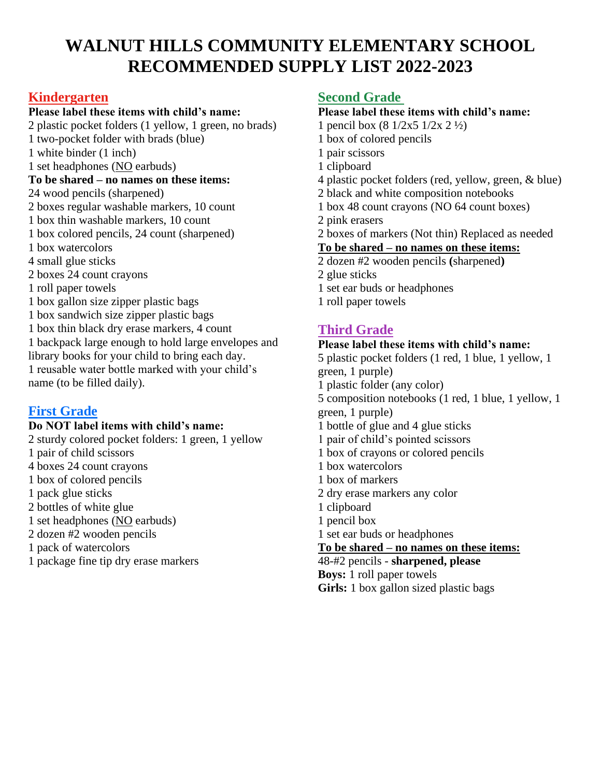# **WALNUT HILLS COMMUNITY ELEMENTARY SCHOOL RECOMMENDED SUPPLY LIST 2022-2023**

## **Kindergarten**

#### **Please label these items with child's name:**

2 plastic pocket folders (1 yellow, 1 green, no brads) 1 two-pocket folder with brads (blue) 1 white binder (1 inch) 1 set headphones (NO earbuds) **To be shared – no names on these items:** 24 wood pencils (sharpened) 2 boxes regular washable markers, 10 count 1 box thin washable markers, 10 count 1 box colored pencils, 24 count (sharpened) 1 box watercolors 4 small glue sticks 2 boxes 24 count crayons 1 roll paper towels 1 box gallon size zipper plastic bags 1 box sandwich size zipper plastic bags 1 box thin black dry erase markers, 4 count 1 backpack large enough to hold large envelopes and library books for your child to bring each day. 1 reusable water bottle marked with your child's name (to be filled daily).

## **First Grade**

#### **Do NOT label items with child's name:**

2 sturdy colored pocket folders: 1 green, 1 yellow 1 pair of child scissors 4 boxes 24 count crayons 1 box of colored pencils 1 pack glue sticks 2 bottles of white glue 1 set headphones (NO earbuds) 2 dozen #2 wooden pencils 1 pack of watercolors 1 package fine tip dry erase markers

## **Second Grade**

#### **Please label these items with child's name:**

- 1 pencil box (8 1/2x5 1/2x 2 ½)
- 1 box of colored pencils
- 1 pair scissors
- 1 clipboard
- 4 plastic pocket folders (red, yellow, green, & blue)
- 2 black and white composition notebooks
- 1 box 48 count crayons (NO 64 count boxes)
- 2 pink erasers
- 2 boxes of markers (Not thin) Replaced as needed

#### **To be shared – no names on these items:**

- 2 dozen #2 wooden pencils **(**sharpened**)**
- 2 glue sticks
- $\frac{1}{1}$  set ear buds or headphones
- 1 roll paper towels

# **Third Grade**

# **Please label these items with child's name:**

- 5 plastic pocket folders (1 red, 1 blue, 1 yellow, 1 green, 1 purple) 1 plastic folder (any color) 5 composition notebooks (1 red, 1 blue, 1 yellow, 1 green, 1 purple)  $\frac{1}{1}$  bottle of glue and 4 glue sticks 1 pair of child's pointed scissors 1 box of crayons or colored pencils 1 box watercolors 1 box of markers 2 dry erase markers any color 1 clipboard 1 pencil box 1 set ear buds or headphones **To be shared – no names on these items:** 48-#2 pencils - **sharpened, please Boys:** 1 roll paper towels
- **Girls:** 1 box gallon sized plastic bags